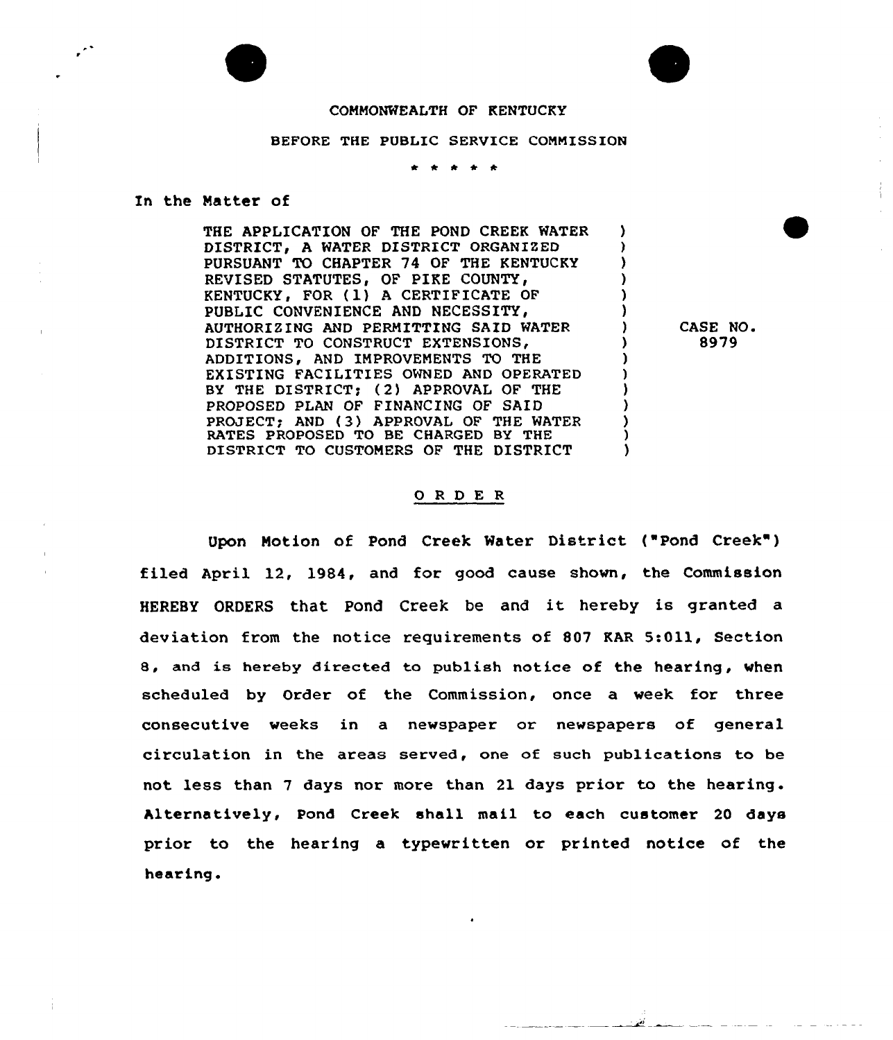## COMMONWEALTH OF KENTUCKY

## BEFORE THE PUBLIC SERVICE COMMISSION

## In the Natter of

THE APPLICATION OF THE POND CREEK WATER A DISTRICT, A WATER DISTRICT ORGANIZED PURSUANT TO CHAPTER 74 OF THE KENTUCKY Y REVISED STATUTES, OF PIKE COUNTY, 'N KENTUCKY, FOR (1) A CERTIFICATE OF PUBLIC CONVENIENCE AND NECESSITY. AND PERMITTING SAID WATER DISTRICT TO CONSTRUCT EXTENSIONS, ADDITIONS, AND IMPROVEMENTS TO THE EXISTING FACILITIES OWNED AND OPERATED BY THE DISTRICT; (2) APPROVAL OF THE PROPOSED PLAN OF FINANCING OF SAID PROJECT; AND {3) APPROVAL OF THE WATER RATES PROPOSED TO BE CHARGED BY THE DISTRICT TO CUSTOMERS OF THE DISTRICT  $\lambda$ 

CASE NO. 8979

## ORDER

Upon Motion of Pond Creek Water District ( Pond Creek" ) filed April 12, 1984, and for good cause shown, the Commission HEREBY ORDERS that. Pond Creek be and it hereby is granted <sup>a</sup> deviation from the notice requirements of 807 KAR 5:011, Section 8, and is hereby directed to publish notice of the hearing, when scheduled by Order of the Commission, once a week for three consecutive weeks in a newspaper or newspapers of general circulation in the areas served, one of such publications to be not less than 7 days nor more than 21 days prior to the hearing. Alternatively, Pond Creek shall mail to each customer 20 days prior to the hearing a typewritten or printed notice of the hearing.